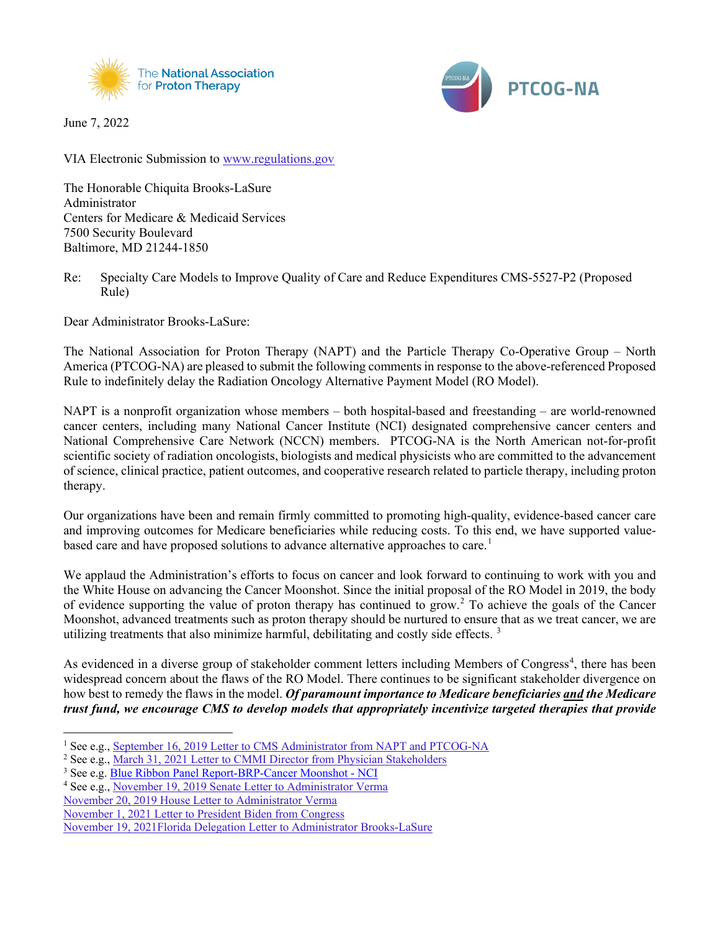

June 7, 2022



VIA Electronic Submission to [www.regulations.gov](http://www.regulations.gov/)

The Honorable Chiquita Brooks-LaSure Administrator Centers for Medicare & Medicaid Services 7500 Security Boulevard Baltimore, MD 21244-1850

Re: Specialty Care Models to Improve Quality of Care and Reduce Expenditures CMS-5527-P2 (Proposed Rule)

Dear Administrator Brooks-LaSure:

The National Association for Proton Therapy (NAPT) and the Particle Therapy Co-Operative Group – North America (PTCOG-NA) are pleased to submit the following comments in response to the above-referenced Proposed Rule to indefinitely delay the Radiation Oncology Alternative Payment Model (RO Model).

NAPT is a nonprofit organization whose members – both hospital-based and freestanding – are world-renowned cancer centers, including many National Cancer Institute (NCI) designated comprehensive cancer centers and National Comprehensive Care Network (NCCN) members. PTCOG-NA is the North American not-for-profit scientific society of radiation oncologists, biologists and medical physicists who are committed to the advancement of science, clinical practice, patient outcomes, and cooperative research related to particle therapy, including proton therapy.

Our organizations have been and remain firmly committed to promoting high-quality, evidence-based cancer care and improving outcomes for Medicare beneficiaries while reducing costs. To this end, we have supported value-based care and have proposed solutions to advance alternative approaches to care.<sup>[1](#page-0-0)</sup>

We applaud the Administration's efforts to focus on cancer and look forward to continuing to work with you and the White House on advancing the Cancer Moonshot. Since the initial proposal of the RO Model in 2019, the body of evidence supporting the value of proton therapy has continued to grow. [2](#page-0-1) To achieve the goals of the Cancer Moonshot, advanced treatments such as proton therapy should be nurtured to ensure that as we treat cancer, we are utilizing treatments that also minimize harmful, debilitating and costly side effects.<sup>[3](#page-0-2)</sup>

As evidenced in a diverse group of stakeholder comment letters including Members of Congress<sup>[4](#page-0-3)</sup>, there has been widespread concern about the flaws of the RO Model. There continues to be significant stakeholder divergence on how best to remedy the flaws in the model. *Of paramount importance to Medicare beneficiaries and the Medicare trust fund, we encourage CMS to develop models that appropriately incentivize targeted therapies that provide* 

[November 20, 2019 House Letter to Administrator Verma](http://www.proton-therapy.org/wp-content/uploads/2022/05/November-20-2019-House-Letter.pdf)

[November 1, 2021 Letter to President Biden from Congress](http://www.proton-therapy.org/wp-content/uploads/2021/11/11-1-21-Proton-beam-therapy-letter-to-Biden.pdf)

<span id="page-0-0"></span><sup>&</sup>lt;sup>1</sup> See e.g., [September 16, 2019 Letter to CMS Administrator](http://www.proton-therapy.org/wp-content/uploads/2021/11/NAPT-Comment-Letter-on-Radiation-Oncology-APM-09-16-19-Final.pdf) from NAPT and PTCOG-NA

<span id="page-0-1"></span><sup>&</sup>lt;sup>2</sup> See e.g., [March 31, 2021 Letter to CMMI Director from Physician Stakeholders](http://www.proton-therapy.org/wp-content/uploads/2021/07/RO-APM-Physician-Letter-to-Director-Fowler.pdf)

<span id="page-0-2"></span><sup>3</sup> See e.g[. Blue Ribbon Panel Report-BRP-Cancer Moonshot -](https://www.cancer.gov/research/key-initiatives/moonshot-cancer-initiative/blue-ribbon-panel) NCI

<span id="page-0-3"></span><sup>4</sup> See e.g., [November 19, 2019 Senate Letter to Administrator Verma](http://www.proton-therapy.org/wp-content/uploads/2022/05/November-19-2021-Senate-Letter.pdf)

[November 19, 2021Florida Delegation Letter to Administrator Brooks-LaSure](http://www.proton-therapy.org/wp-content/uploads/2021/12/Florida-Delegation11.19.21-letter-to-cms-proton-beam-therapy-ro-model-2.pdf)